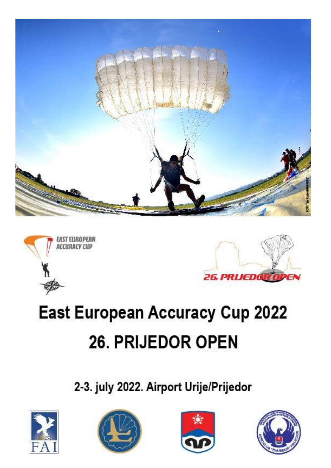





## **East European Accuracy Cup 2022** 26. PRIJEDOR OPEN

2-3. july 2022. Airport Urije/Prijedor







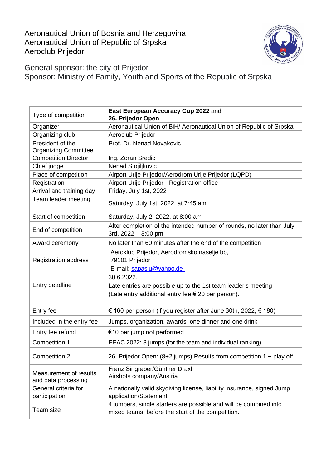Aeronautical Union of Bosnia and Herzegovina Aeronautical Union of Republic of Srpska Aeroclub Prijedor



General sponsor: the city of Prijedor Sponsor: Ministry of Family, Youth and Sports of the Republic of Srpska

| Type of competition                             | East European Accuracy Cup 2022 and<br>26. Prijedor Open                                                                                   |
|-------------------------------------------------|--------------------------------------------------------------------------------------------------------------------------------------------|
| Organizer                                       | Aeronautical Union of BiH/ Aeronautical Union of Republic of Srpska                                                                        |
| Organizing club                                 | Aeroclub Prijedor                                                                                                                          |
| President of the<br><b>Organizing Committee</b> | Prof. Dr. Nenad Novakovic                                                                                                                  |
| <b>Competition Director</b>                     | Ing. Zoran Sredic                                                                                                                          |
| Chief judge                                     | Nenad Stojiljkovic                                                                                                                         |
| Place of competition                            | Airport Urije Prijedor/Aerodrom Urije Prijedor (LQPD)                                                                                      |
| Registration                                    | Airport Urije Prijedor - Registration office                                                                                               |
| Arrival and training day                        | Friday, July 1st, 2022                                                                                                                     |
| Team leader meeting                             | Saturday, July 1st, 2022, at 7:45 am                                                                                                       |
| Start of competition                            | Saturday, July 2, 2022, at 8:00 am                                                                                                         |
| End of competition                              | After completion of the intended number of rounds, no later than July<br>3rd, $2022 - 3:00$ pm                                             |
| Award ceremony                                  | No later than 60 minutes after the end of the competition                                                                                  |
| <b>Registration address</b>                     | Aeroklub Prijedor, Aerodromsko naselje bb,<br>79101 Prijedor<br>E-mail: sapasju@yahoo.de                                                   |
| Entry deadline                                  | 30.6.2022.<br>Late entries are possible up to the 1st team leader's meeting<br>(Late entry additional entry fee $\epsilon$ 20 per person). |
| Entry fee                                       | € 160 per person (if you register after June 30th, 2022, € 180)                                                                            |
| Included in the entry fee                       | Jumps, organization, awards, one dinner and one drink                                                                                      |
| Entry fee refund                                | €10 per jump not performed                                                                                                                 |
| Competition 1                                   | EEAC 2022: 8 jumps (for the team and individual ranking)                                                                                   |
| <b>Competition 2</b>                            | 26. Prijedor Open: (8+2 jumps) Results from competition 1 + play off                                                                       |
| Measurement of results<br>and data processing   | Franz Singraber/Günther Draxl<br>Airshots company/Austria                                                                                  |
| General criteria for<br>participation           | A nationally valid skydiving license, liability insurance, signed Jump<br>application/Statement                                            |
| Team size                                       | 4 jumpers, single starters are possible and will be combined into<br>mixed teams, before the start of the competition.                     |